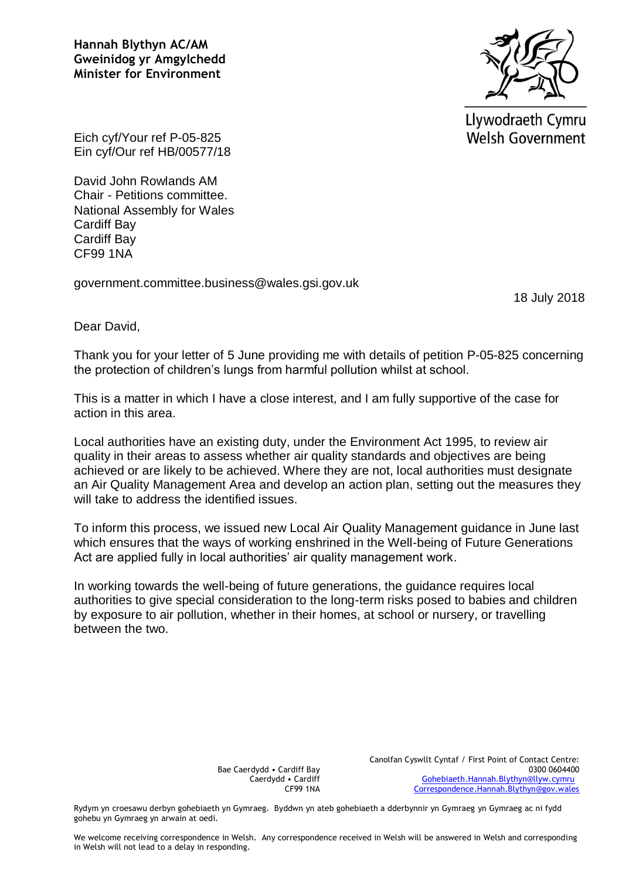**Hannah Blythyn AC/AM Gweinidog yr Amgylchedd Minister for Environment**



Llywodraeth Cymru **Welsh Government** 

Eich cyf/Your ref P-05-825 Ein cyf/Our ref HB/00577/18

David John Rowlands AM Chair - Petitions committee. National Assembly for Wales Cardiff Bay Cardiff Bay CF99 1NA

government.committee.business@wales.gsi.gov.uk

18 July 2018

Dear David,

Thank you for your letter of 5 June providing me with details of petition P-05-825 concerning the protection of children's lungs from harmful pollution whilst at school.

This is a matter in which I have a close interest, and I am fully supportive of the case for action in this area.

Local authorities have an existing duty, under the Environment Act 1995, to review air quality in their areas to assess whether air quality standards and objectives are being achieved or are likely to be achieved. Where they are not, local authorities must designate an Air Quality Management Area and develop an action plan, setting out the measures they will take to address the identified issues.

To inform this process, we issued new Local Air Quality Management guidance in June last which ensures that the ways of working enshrined in the Well-being of Future Generations Act are applied fully in local authorities' air quality management work.

In working towards the well-being of future generations, the guidance requires local authorities to give special consideration to the long-term risks posed to babies and children by exposure to air pollution, whether in their homes, at school or nursery, or travelling between the two.

> Bae Caerdydd • Cardiff Bay Caerdydd • Cardiff CF99 1NA

Canolfan Cyswllt Cyntaf / First Point of Contact Centre: 0300 0604400 [Gohebiaeth.Hannah.Blythyn@llyw.cymru](mailto:Gohebiaeth.Hannah.Blythyn@llyw.cymru) [Correspondence.Hannah.Blythyn@gov.wales](mailto:Correspondence.Hannah.Blythyn@gov.wales)

Rydym yn croesawu derbyn gohebiaeth yn Gymraeg. Byddwn yn ateb gohebiaeth a dderbynnir yn Gymraeg yn Gymraeg ac ni fydd gohebu yn Gymraeg yn arwain at oedi.

We welcome receiving correspondence in Welsh. Any correspondence received in Welsh will be answered in Welsh and corresponding in Welsh will not lead to a delay in responding.